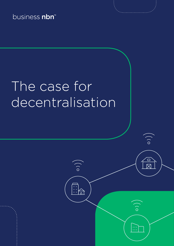business nbn<sup>™</sup>

# The case for decentralisation

 $\circ)$ 

 $\begin{tabular}{|c|c|} \hline \quad \quad & \quad \quad \\ \hline \quad \quad & \quad \quad \\ \hline \quad \quad & \quad \quad \\ \hline \end{tabular}$ 

 $\circ$ )

 $\cup$ 

 $\overline{\mathsf{M}}$ 

 $\bigcirc$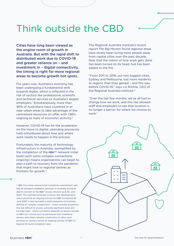#### Think outside the CBD

Cities have long been viewed as the engine room of growth in Australia. But with the rapid shift to distributed work due to COVID-19 and greater reliance on – and investment in – digital connectivity, the timing is right for more regional areas to become growth hot spots.

For years now, Australia's economy has been undergoing a fundamental shift towards digital, which is reflected in the rise of sectors like professional, scientific and technical services as Australia's largest employers.<sup>1</sup> Simultaneously, more than 90% of Australians have clustered in or near urban areas to take advantage of the centralised resources on offer, with CBDs reigning as hubs of economic acitivity.2

However, COVID-19 has hit the accelerator on the move to digital, upending previously held orthodoxies about how and where work needs to happen in the process.

Fortunately, the maturity of technology infrastructure in Australia, exemplified by the completion of the  $nbn^{m}$  network initial build (with some complex connections ongoing) means organisations can begin to plan a path to recovery from the pandemic that might look to regional centres as frontiers for growth.\*

\* NBN Co's initial volume build completion commitment was that all standard installation premises in Australia would be able to connect to the nbn™ access network as at 30 June 2020. This excluded premises in future new developments which would be an ongoing activity for NBN Co beyond 30 June 2020. It also excluded a small proportion of premises defined as 'complex connections' – which includes properties that are difficult to access, culturally significant areas and heritage sites – where connection depends on factors outside of NBN Co's control such as permission from traditional owners, and where network construction to allow such premises to connect will be an ongoing activity of NBN Co beyond the build completion date.

The Regional Australia Institute's recent report *The Big Movers* found regional areas have slowly been luring more people away from capital cities over the past decade. Now that the notion of how work gets done has been turned on its head, fuel has been added to the fire.

"From 2011 to 2016, our two biggest cities, Sydney and Melbourne, lost more residents to regions than they gained – and this was before COVID-19," says Liz Ritchie, CEO of the Regional Australia Institute.<sup>3</sup>

"Over the last few months, we've all had to change how we work, and this has allowed staff and employers to see that location is no longer a barrier for where we choose to work."

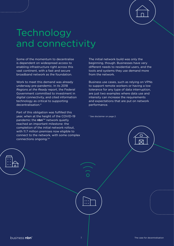

## **Technology** and connectivity

Some of the momentum to decentralise is dependent on widespread access to enabling infrastructure right across this vast continent, with a fast and secure broadband network as the foundation.

Work to meet this demand was already underway pre-pandemic. In its 2018 *Regions at the Ready* report, the Federal Government committed to investment in digital connectivity, and cited information technology as critical to supporting decentralisation.4

Part of this obligation was fulfilled this year, when at the height of the COVID-19 pandemic the nbn™ network quietly reached an important milestone: the completion of the initial network rollout, with 11.7 million premises now eligible to connect to the network, with some complex connections ongoing.5\*

The initial network build was only the beginning, though. Businesses have very different needs to residential users, and the tools and systems they use demand more from the network.

Business use cases, such as relying on VPNs to support remote workers or having a low tolerance for any type of data interruption, are just two examples where data use and intensity can increase the requirements and expectations that are put on network performance.

\* See disclaimer on page 2.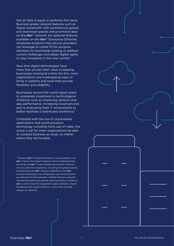Not all data is equal or performs the same. Business-grade network features such as higher bandwidth with symmetrical upload and download speeds and prioritised data on the nbn™ network are optional features available on the nbn™ Enterprise Ethernet wholesale products that service providers can leverage to create fit-for-purpose solutions for businesses looking to address current challenges and adopt digital agility to stay innovative in this new normal.^

Now that digital technologies have more than proven their value in keeping businesses moving at a time like this, more organisations are investigating ways to bring in systems and tools that provide flexibility and reliability.

Businesses around the world report plans to accelerate investment in technological initiatives such as improving network and app performance, increasing cloud services and re-evaluating their IT environment to better facilitate a distributed workforce.<sup>6</sup>

Combined with the rise of cloud-based applications and communication technology including more use of video, the scene is set for more organisations be able to conduct business as usual, no matter where they are located.

^ business nbn™ Enterprise Ethernet is only available in the nbn™ Fixed Line network footprint and at limited premises served by the nbn™ Fixed Wireless and Satellite networks. An end customer's experience, including the speeds actually achieved over the nbn™ network, depends on the nbn™ network technology and configuration over which services are delivered to their premises, whether they are using the internet during the busy period, and some factors outside of nbn's control (like their equipment quality, software, chosen broadband plan, signal reception, or how their provider designs its network).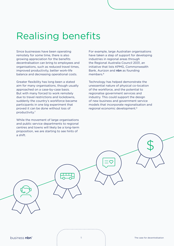### Realising benefits

Since businesses have been operating remotely for some time, there is also growing appreciation for the benefits decentralisation can bring to employees and organisations, such as reduced travel times, improved productivity, better work-life balance and decreasing operational costs.

Greater flexibility has long been a stated aim for many organisations, though usually approached on a case-by-case basis. But with many forced to work remotely due to travel restrictions and lockdowns, suddenly the country's workforce became participants in one big experiment that proved it can be done without loss of productivity.7

While the movement of large organisations and public service departments to regional centres and towns will likely be a long-term proposition, we are starting to see hints of a shift.

For example, large Australian organisations have taken a step of support for developing industries in regional areas through the Regional Australia Council 2031, an initiative that lists KPMG, Commonwealth Bank, Aurizon and nbn as founding members<sup>8</sup>

Technology has helped demonstrate the unessential nature of physical co-location of the workforce, and the potential to regionalise government services and industry. This could support the design of new business and government service models that incorporate regionalisation and regional economic development.9

business nbn<sup>\*</sup>

\$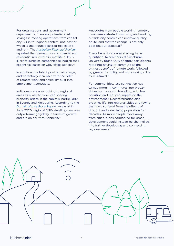For organisations and government departments, there are potential cost savings in moving operations from capital city CBDs to regional centres, not least of which is the reduced cost of real estate and rent. The *[Australian Financial Review](https://www.afr.com/property/commercial/satellite-hubs-set-to-rise-as-businesses-decentralise-20200603-p54yz2)* reported that demand for commercial and residential real estate in satellite hubs is likely to surge as companies relinquish their expensive leases on CBD office spaces.10

In addition, the talent pool remains large, and potentially increases with the offer of remote work and flexibility built into employment contracts.

Individuals are also looking to regional areas as a way to side-step soaring property prices in the capitals, particularly in Sydney and Melbourne. According to the *[Domain House Price Report](https://www.domain.com.au/research/house-price-report/june-2020/)*, released in June 2020, regional NSW dwellings are now outperforming Sydney in terms of growth, and are on par with Canberra.<sup>11</sup>

Anecdotes from people working remotely have demonstrated how living and working outside city centres can improve quality of life, and that the change is not only possible but practical.12

These benefits are also starting to be quantified. Researchers at Swinburne University found 90% of study participants rated not having to commute as the biggest benefit of remote work, followed by greater flexibility and more savings due to less travel.<sup>12</sup>

For communities, less congestion has turned morning commutes into breezy drives for those still travelling, with less pollution and reduced impact on the environment.12 Decentralisation also breathes life into regional cities and towns that have suffered from the effects of drought and a declining population for decades. As more people move away from cities, funds earmarked for urban development could instead be channelled into further developing and connecting regional areas.13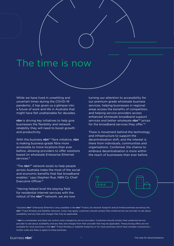### The time is now

While we have lived in unsettling and uncertain times during the COVID-19 pandemic, it has given us a glimpse into a future of work and life in Australia that might have felt unattainable for decades.

nbn is driving key initiatives to help give businesses the flexibility and network reliability they will need to boost growth and productivity.

With the business nbn™ fibre initiative, nbn is making business-grade fibre more accessible to more locations than ever before, allowing providers to offer solutions based on wholesale Enterprise Ethernet services.#

"The  $nbn^{m}$  network exists to help people across Australia make the most of the social and economic benefits that fast broadband enables," says Stephen Rue, NBN Co Chief Executive Officer. 14

"Having helped level the playing field for residential internet services with the rollout of the  $nbn^{m}$  network, we are now turning our attention to accessibility for our premium-grade wholesale business services, helping businesses in regional areas access the benefits of competition, and helping service providers access enhanced wholesale broadband support services and better wholesale  $nbn^{m}$  prices for the broadband services they offer."§

There is movement behind the technology and infrastructure to support the decentralisation shift, and the interest is there from individuals, communities and organisations. Combined, the chance to embrace decentralisation is more within the reach of businesses than ever before.



# business nbn™ Enterprise Ethernet is only available in the nbn™ Fixed Line network footprint and at limited premises served by the nbn™ Fixed Wireless and Satellite networks. Costs may apply; customers should contact their preferred service provider to ask about availability and any fees and charges that may be applicable.

§ nbn is a wholesaler and does not control costs charged by service providers. Customers should contact their preferred service provider to ask about availability and any fees and charges from their provider that may be applicable. These pricing offers are not available for most premises in the nbn™ Fixed Wireless or Satellite footprints or for most premises which have complex connections further costs are likely to apply to these premises.